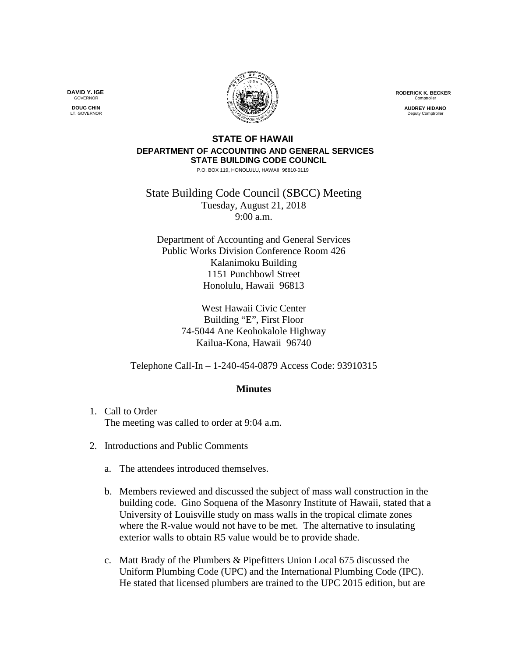**RODERICK K. BECKER** Comptrolle

> **AUDREY HIDANO** .<br>Deputy Comptr

## **STATE OF HAWAII DEPARTMENT OF ACCOUNTING AND GENERAL SERVICES STATE BUILDING CODE COUNCIL**

P.O. BOX 119, HONOLULU, HAWAII 96810-0119

State Building Code Council (SBCC) Meeting Tuesday, August 21, 2018 9:00 a.m.

Department of Accounting and General Services Public Works Division Conference Room 426 Kalanimoku Building 1151 Punchbowl Street Honolulu, Hawaii 96813

> West Hawaii Civic Center Building "E", First Floor 74-5044 Ane Keohokalole Highway Kailua-Kona, Hawaii 96740

Telephone Call-In – 1-240-454-0879 Access Code: 93910315

## **Minutes**

- 1. Call to Order The meeting was called to order at 9:04 a.m.
- 2. Introductions and Public Comments
	- a. The attendees introduced themselves.
	- b. Members reviewed and discussed the subject of mass wall construction in the building code. Gino Soquena of the Masonry Institute of Hawaii, stated that a University of Louisville study on mass walls in the tropical climate zones where the R-value would not have to be met. The alternative to insulating exterior walls to obtain R5 value would be to provide shade.
	- c. Matt Brady of the Plumbers & Pipefitters Union Local 675 discussed the Uniform Plumbing Code (UPC) and the International Plumbing Code (IPC). He stated that licensed plumbers are trained to the UPC 2015 edition, but are

**DAVID Y. IGE GOVERNOR** 

**DOUG CHIN** LT. GOVERNOR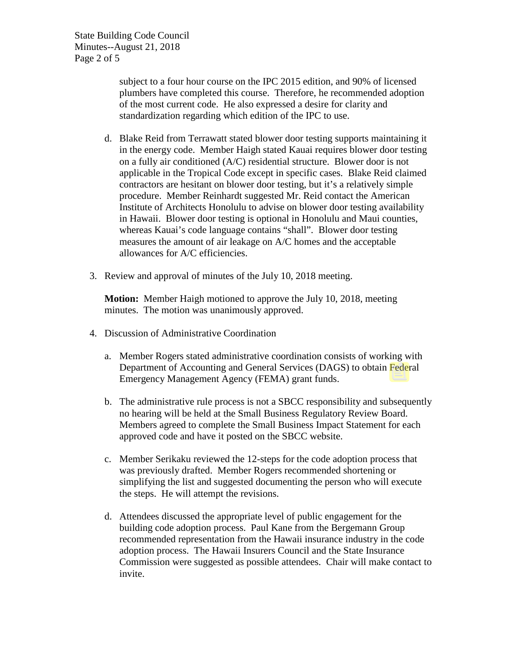subject to a four hour course on the IPC 2015 edition, and 90% of licensed plumbers have completed this course. Therefore, he recommended adoption of the most current code. He also expressed a desire for clarity and standardization regarding which edition of the IPC to use.

- d. Blake Reid from Terrawatt stated blower door testing supports maintaining it in the energy code. Member Haigh stated Kauai requires blower door testing on a fully air conditioned (A/C) residential structure. Blower door is not applicable in the Tropical Code except in specific cases. Blake Reid claimed contractors are hesitant on blower door testing, but it's a relatively simple procedure. Member Reinhardt suggested Mr. Reid contact the American Institute of Architects Honolulu to advise on blower door testing availability in Hawaii. Blower door testing is optional in Honolulu and Maui counties, whereas Kauai's code language contains "shall". Blower door testing measures the amount of air leakage on A/C homes and the acceptable allowances for A/C efficiencies.
- 3. Review and approval of minutes of the July 10, 2018 meeting.

**Motion:** Member Haigh motioned to approve the July 10, 2018, meeting minutes. The motion was unanimously approved.

- 4. Discussion of Administrative Coordination
	- a. Member Rogers stated administrative coordination consists of working with Department of Accounting and General Services (DAGS) to obtain Federal Emergency Management Agency (FEMA) grant funds.
	- b. The administrative rule process is not a SBCC responsibility and subsequently no hearing will be held at the Small Business Regulatory Review Board. Members agreed to complete the Small Business Impact Statement for each approved code and have it posted on the SBCC website.
	- c. Member Serikaku reviewed the 12-steps for the code adoption process that was previously drafted. Member Rogers recommended shortening or simplifying the list and suggested documenting the person who will execute the steps. He will attempt the revisions.
	- d. Attendees discussed the appropriate level of public engagement for the building code adoption process. Paul Kane from the Bergemann Group recommended representation from the Hawaii insurance industry in the code adoption process. The Hawaii Insurers Council and the State Insurance Commission were suggested as possible attendees. Chair will make contact to invite.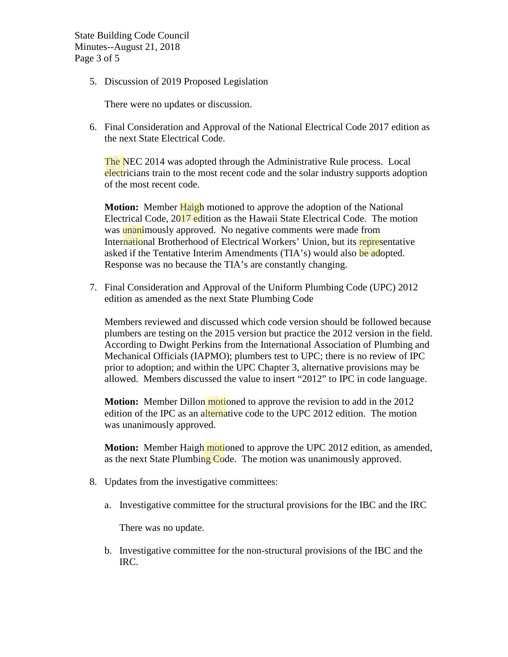State Building Code Council Minutes--August 21, 2018 Page 3 of 5

5. Discussion of 2019 Proposed Legislation

There were no updates or discussion.

6. Final Consideration and Approval of the National Electrical Code 2017 edition as the next State Electrical Code.

The NEC 2014 was adopted through the Administrative Rule process. Local electricians train to the most recent code and the solar industry supports adoption of the most recent code.

**Motion:** Member Haigh motioned to approve the adoption of the National Electrical Code, 2017 edition as the Hawaii State Electrical Code. The motion was unanimously approved. No negative comments were made from International Brotherhood of Electrical Workers' Union, but its representative asked if the Tentative Interim Amendments (TIA's) would also be adopted. Response was no because the TIA's are constantly changing.

7. Final Consideration and Approval of the Uniform Plumbing Code (UPC) 2012 edition as amended as the next State Plumbing Code

Members reviewed and discussed which code version should be followed because plumbers are testing on the 2015 version but practice the 2012 version in the field. According to Dwight Perkins from the International Association of Plumbing and Mechanical Officials (IAPMO); plumbers test to UPC; there is no review of IPC prior to adoption; and within the UPC Chapter 3, alternative provisions may be allowed. Members discussed the value to insert "2012" to IPC in code language.

**Motion:** Member Dillon motioned to approve the revision to add in the 2012 edition of the IPC as an alternative code to the UPC 2012 edition. The motion was unanimously approved.

**Motion:** Member Haigh motioned to approve the UPC 2012 edition, as amended, as the next State Plumbing Code. The motion was unanimously approved.

- 8. Updates from the investigative committees:
	- a. Investigative committee for the structural provisions for the IBC and the IRC

There was no update.

b. Investigative committee for the non-structural provisions of the IBC and the IRC.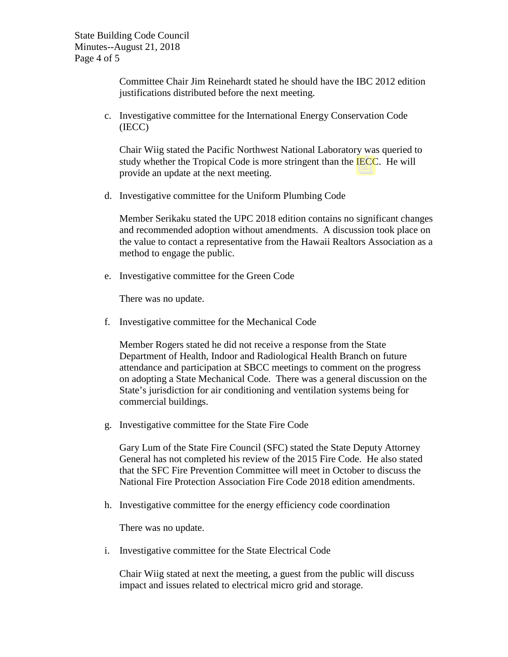Committee Chair Jim Reinehardt stated he should have the IBC 2012 edition justifications distributed before the next meeting.

c. Investigative committee for the International Energy Conservation Code (IECC)

Chair Wiig stated the Pacific Northwest National Laboratory was queried to study whether the Tropical Code is more stringent than the IECC. He will provide an update at the next meeting.

d. Investigative committee for the Uniform Plumbing Code

Member Serikaku stated the UPC 2018 edition contains no significant changes and recommended adoption without amendments. A discussion took place on the value to contact a representative from the Hawaii Realtors Association as a method to engage the public.

e. Investigative committee for the Green Code

There was no update.

f. Investigative committee for the Mechanical Code

Member Rogers stated he did not receive a response from the State Department of Health, Indoor and Radiological Health Branch on future attendance and participation at SBCC meetings to comment on the progress on adopting a State Mechanical Code. There was a general discussion on the State's jurisdiction for air conditioning and ventilation systems being for commercial buildings.

g. Investigative committee for the State Fire Code

Gary Lum of the State Fire Council (SFC) stated the State Deputy Attorney General has not completed his review of the 2015 Fire Code. He also stated that the SFC Fire Prevention Committee will meet in October to discuss the National Fire Protection Association Fire Code 2018 edition amendments.

h. Investigative committee for the energy efficiency code coordination

There was no update.

i. Investigative committee for the State Electrical Code

Chair Wiig stated at next the meeting, a guest from the public will discuss impact and issues related to electrical micro grid and storage.